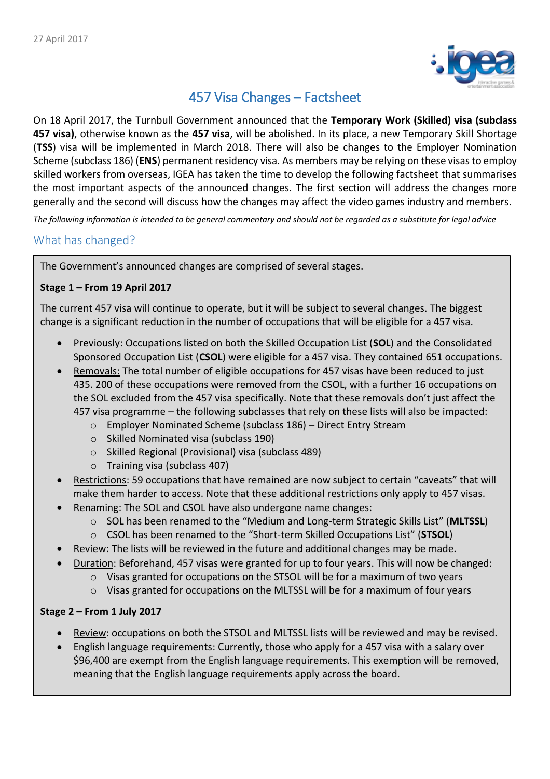

# 457 Visa Changes – Factsheet

On 18 April 2017, the Turnbull Government announced that the **Temporary Work (Skilled) visa (subclass 457 visa)**, otherwise known as the **457 visa**, will be abolished. In its place, a new Temporary Skill Shortage (**TSS**) visa will be implemented in March 2018. There will also be changes to the Employer Nomination Scheme (subclass 186) (**ENS**) permanent residency visa. As members may be relying on these visasto employ skilled workers from overseas, IGEA has taken the time to develop the following factsheet that summarises the most important aspects of the announced changes. The first section will address the changes more generally and the second will discuss how the changes may affect the video games industry and members.

*The following information is intended to be general commentary and should not be regarded as a substitute for legal advice*

## What has changed?

The Government's announced changes are comprised of several stages.

## **Stage 1 – From 19 April 2017**

The current 457 visa will continue to operate, but it will be subject to several changes. The biggest change is a significant reduction in the number of occupations that will be eligible for a 457 visa.

- Previously: Occupations listed on both the Skilled Occupation List (**SOL**) and the Consolidated Sponsored Occupation List (**CSOL**) were eligible for a 457 visa. They contained 651 occupations.
- Removals: The total number of eligible occupations for 457 visas have been reduced to just 435. 200 of these occupations were removed from the CSOL, with a further 16 occupations on the SOL excluded from the 457 visa specifically. Note that these removals don't just affect the 457 visa programme – the following subclasses that rely on these lists will also be impacted:
	- o Employer Nominated Scheme (subclass 186) Direct Entry Stream
	- o Skilled Nominated visa (subclass 190)
	- o Skilled Regional (Provisional) visa (subclass 489)
	- o Training visa (subclass 407)
- Restrictions: 59 occupations that have remained are now subject to certain "caveats" that will make them harder to access. Note that these additional restrictions only apply to 457 visas.
- Renaming: The SOL and CSOL have also undergone name changes:
	- o SOL has been renamed to the "Medium and Long-term Strategic Skills List" (**MLTSSL**)
	- o CSOL has been renamed to the "Short-term Skilled Occupations List" (**STSOL**)
	- Review: The lists will be reviewed in the future and additional changes may be made.
	- Duration: Beforehand, 457 visas were granted for up to four years. This will now be changed:
		- $\circ$  Visas granted for occupations on the STSOL will be for a maximum of two years
			- $\circ$  Visas granted for occupations on the MLTSSL will be for a maximum of four years

#### **Stage 2 – From 1 July 2017**

- Review: occupations on both the STSOL and MLTSSL lists will be reviewed and may be revised.
- English language requirements: Currently, those who apply for a 457 visa with a salary over \$96,400 are exempt from the English language requirements. This exemption will be removed, meaning that the English language requirements apply across the board.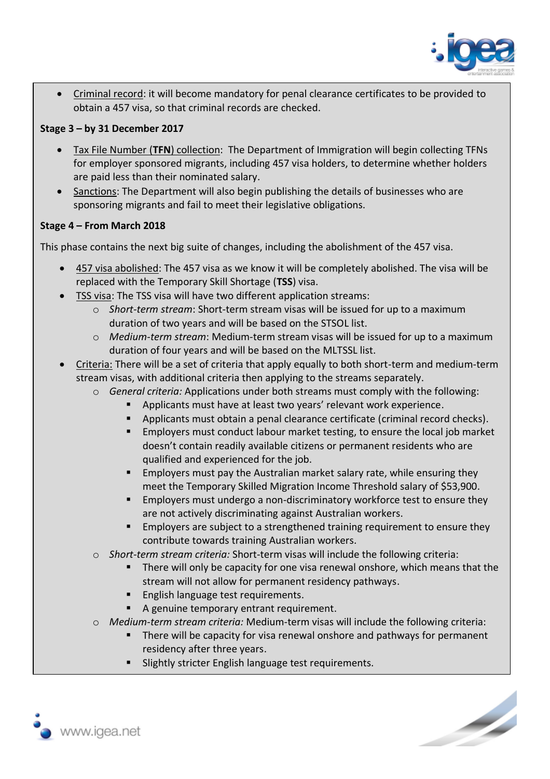

• Criminal record: it will become mandatory for penal clearance certificates to be provided to obtain a 457 visa, so that criminal records are checked.

## **Stage 3 – by 31 December 2017**

- Tax File Number (**TFN**) collection: The Department of Immigration will begin collecting TFNs for employer sponsored migrants, including 457 visa holders, to determine whether holders are paid less than their nominated salary.
- Sanctions: The Department will also begin publishing the details of businesses who are sponsoring migrants and fail to meet their legislative obligations.

## **Stage 4 – From March 2018**

This phase contains the next big suite of changes, including the abolishment of the 457 visa.

- 457 visa abolished: The 457 visa as we know it will be completely abolished. The visa will be replaced with the Temporary Skill Shortage (**TSS**) visa.
- TSS visa: The TSS visa will have two different application streams:
	- o *Short-term stream*: Short-term stream visas will be issued for up to a maximum duration of two years and will be based on the STSOL list.
	- o *Medium-term stream*: Medium-term stream visas will be issued for up to a maximum duration of four years and will be based on the MLTSSL list.
- Criteria: There will be a set of criteria that apply equally to both short-term and medium-term stream visas, with additional criteria then applying to the streams separately.
	- o *General criteria:* Applications under both streams must comply with the following:
		- Applicants must have at least two years' relevant work experience.
		- Applicants must obtain a penal clearance certificate (criminal record checks).
		- Employers must conduct labour market testing, to ensure the local job market doesn't contain readily available citizens or permanent residents who are qualified and experienced for the job.
		- **Employers must pay the Australian market salary rate, while ensuring they** meet the Temporary Skilled Migration Income Threshold salary of \$53,900.
		- Employers must undergo a non-discriminatory workforce test to ensure they are not actively discriminating against Australian workers.
		- Employers are subject to a strengthened training requirement to ensure they contribute towards training Australian workers.
	- o *Short-term stream criteria:* Short-term visas will include the following criteria:
		- There will only be capacity for one visa renewal onshore, which means that the stream will not allow for permanent residency pathways.
		- **English language test requirements.**
		- A genuine temporary entrant requirement.
	- o *Medium-term stream criteria:* Medium-term visas will include the following criteria:
		- There will be capacity for visa renewal onshore and pathways for permanent residency after three years.
		- Slightly stricter English language test requirements.



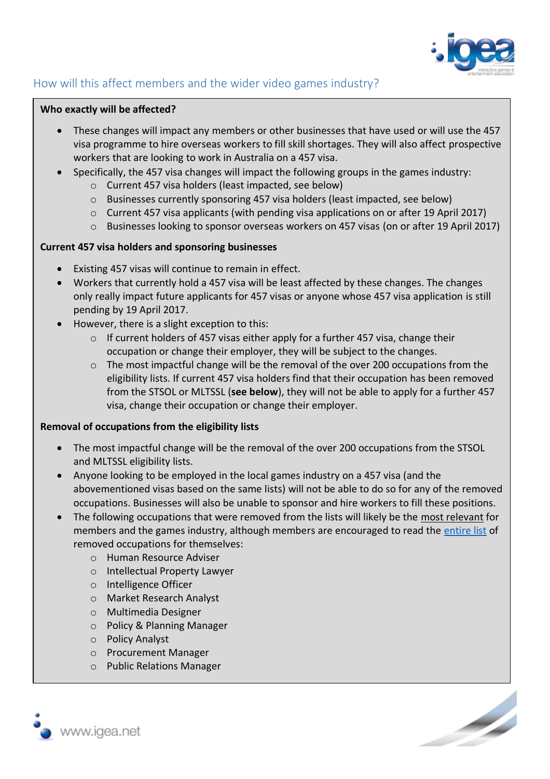

## How will this affect members and the wider video games industry?

#### **Who exactly will be affected?**

- These changes will impact any members or other businesses that have used or will use the 457 visa programme to hire overseas workers to fill skill shortages. They will also affect prospective workers that are looking to work in Australia on a 457 visa.
- Specifically, the 457 visa changes will impact the following groups in the games industry:
	- o Current 457 visa holders (least impacted, see below)
	- $\circ$  Businesses currently sponsoring 457 visa holders (least impacted, see below)
	- o Current 457 visa applicants (with pending visa applications on or after 19 April 2017)
	- o Businesses looking to sponsor overseas workers on 457 visas (on or after 19 April 2017)

#### **Current 457 visa holders and sponsoring businesses**

- Existing 457 visas will continue to remain in effect.
- Workers that currently hold a 457 visa will be least affected by these changes. The changes only really impact future applicants for 457 visas or anyone whose 457 visa application is still pending by 19 April 2017.
- However, there is a slight exception to this:
	- $\circ$  If current holders of 457 visas either apply for a further 457 visa, change their occupation or change their employer, they will be subject to the changes.
	- o The most impactful change will be the removal of the over 200 occupations from the eligibility lists. If current 457 visa holders find that their occupation has been removed from the STSOL or MLTSSL (**see below**), they will not be able to apply for a further 457 visa, change their occupation or change their employer.

#### **Removal of occupations from the eligibility lists**

- The most impactful change will be the removal of the over 200 occupations from the STSOL and MLTSSL eligibility lists.
- Anyone looking to be employed in the local games industry on a 457 visa (and the abovementioned visas based on the same lists) will not be able to do so for any of the removed occupations. Businesses will also be unable to sponsor and hire workers to fill these positions.
- The following occupations that were removed from the lists will likely be the most relevant for members and the games industry, although members are encouraged to read the [entire list](https://www.border.gov.au/Trav/Work/Work/Skills-assessment-and-assessing-authorities/skilled-occupations-lists/removed-skilled-occupations) of removed occupations for themselves:
	- o Human Resource Adviser
	- o Intellectual Property Lawyer
	- o Intelligence Officer
	- o Market Research Analyst
	- o Multimedia Designer
	- o Policy & Planning Manager
	- o Policy Analyst
	- o Procurement Manager
	- o Public Relations Manager



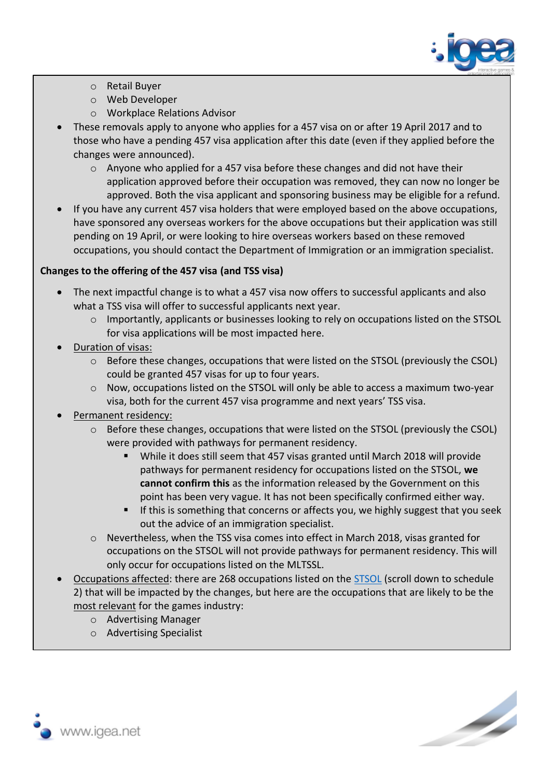

- o Retail Buyer
- o Web Developer
- o Workplace Relations Advisor
- These removals apply to anyone who applies for a 457 visa on or after 19 April 2017 and to those who have a pending 457 visa application after this date (even if they applied before the changes were announced).
	- $\circ$  Anyone who applied for a 457 visa before these changes and did not have their application approved before their occupation was removed, they can now no longer be approved. Both the visa applicant and sponsoring business may be eligible for a refund.
- If you have any current 457 visa holders that were employed based on the above occupations, have sponsored any overseas workers for the above occupations but their application was still pending on 19 April, or were looking to hire overseas workers based on these removed occupations, you should contact the Department of Immigration or an immigration specialist.

## **Changes to the offering of the 457 visa (and TSS visa)**

- The next impactful change is to what a 457 visa now offers to successful applicants and also what a TSS visa will offer to successful applicants next year.
	- $\circ$  Importantly, applicants or businesses looking to rely on occupations listed on the STSOL for visa applications will be most impacted here.
- Duration of visas:
	- $\circ$  Before these changes, occupations that were listed on the STSOL (previously the CSOL) could be granted 457 visas for up to four years.
	- $\circ$  Now, occupations listed on the STSOL will only be able to access a maximum two-year visa, both for the current 457 visa programme and next years' TSS visa.
- Permanent residency:
	- o Before these changes, occupations that were listed on the STSOL (previously the CSOL) were provided with pathways for permanent residency.
		- While it does still seem that 457 visas granted until March 2018 will provide pathways for permanent residency for occupations listed on the STSOL, **we cannot confirm this** as the information released by the Government on this point has been very vague. It has not been specifically confirmed either way.
		- **EXT** If this is something that concerns or affects you, we highly suggest that you seek out the advice of an immigration specialist.
	- $\circ$  Nevertheless, when the TSS visa comes into effect in March 2018, visas granted for occupations on the STSOL will not provide pathways for permanent residency. This will only occur for occupations listed on the MLTSSL.
- Occupations affected: there are 268 occupations listed on the [STSOL](https://www.legislation.gov.au/Details/F2017L00450) (scroll down to schedule 2) that will be impacted by the changes, but here are the occupations that are likely to be the most relevant for the games industry:
	- o Advertising Manager
	- o Advertising Specialist



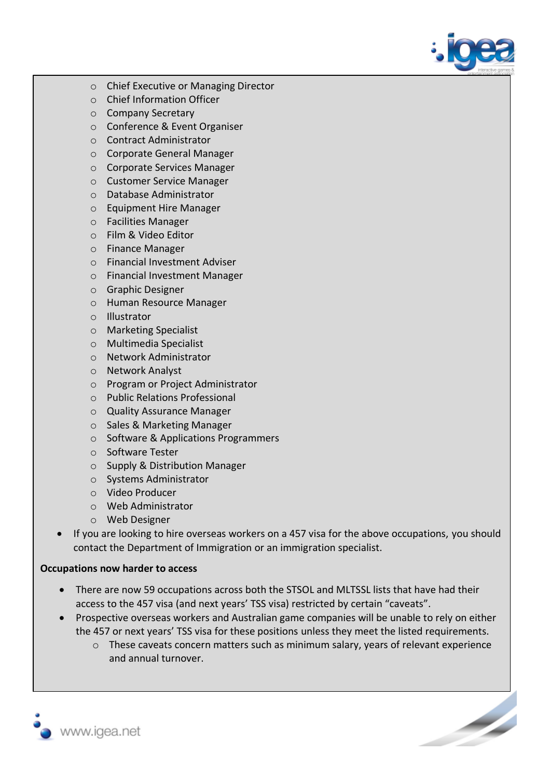

- o Chief Executive or Managing Director
- o Chief Information Officer
- o Company Secretary
- o Conference & Event Organiser
- o Contract Administrator
- o Corporate General Manager
- o Corporate Services Manager
- o Customer Service Manager
- o Database Administrator
- o Equipment Hire Manager
- o Facilities Manager
- o Film & Video Editor
- o Finance Manager
- o Financial Investment Adviser
- o Financial Investment Manager
- o Graphic Designer
- o Human Resource Manager
- o Illustrator
- o Marketing Specialist
- o Multimedia Specialist
- o Network Administrator
- o Network Analyst
- o Program or Project Administrator
- o Public Relations Professional
- o Quality Assurance Manager
- o Sales & Marketing Manager
- o Software & Applications Programmers
- o Software Tester
- o Supply & Distribution Manager
- o Systems Administrator
- o Video Producer
- o Web Administrator
- o Web Designer
- If you are looking to hire overseas workers on a 457 visa for the above occupations, you should contact the Department of Immigration or an immigration specialist.

#### **Occupations now harder to access**

- There are now 59 occupations across both the STSOL and MLTSSL lists that have had their access to the 457 visa (and next years' TSS visa) restricted by certain "caveats".
- Prospective overseas workers and Australian game companies will be unable to rely on either the 457 or next years' TSS visa for these positions unless they meet the listed requirements.
	- o These caveats concern matters such as minimum salary, years of relevant experience and annual turnover.

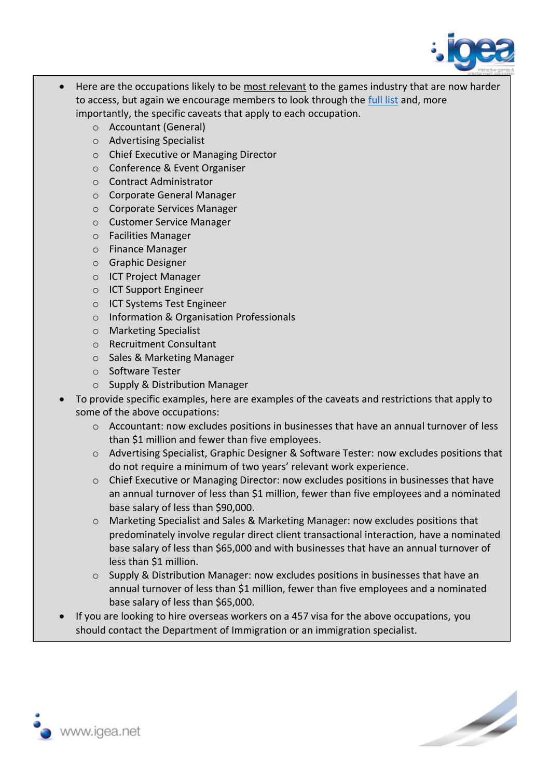

- Here are the occupations likely to be most relevant to the games industry that are now harder to access, but again we encourage members to look through the [full list](https://www.border.gov.au/Trav/Work/Work/Skills-assessment-and-assessing-authorities/skilled-occupations-lists/caveats-457-occupations) and, more importantly, the specific caveats that apply to each occupation.
	- o Accountant (General)
	- o Advertising Specialist
	- o Chief Executive or Managing Director
	- o Conference & Event Organiser
	- o Contract Administrator
	- o Corporate General Manager
	- o Corporate Services Manager
	- o Customer Service Manager
	- o Facilities Manager
	- o Finance Manager
	- o Graphic Designer
	- o ICT Project Manager
	- o ICT Support Engineer
	- o ICT Systems Test Engineer
	- o Information & Organisation Professionals
	- o Marketing Specialist
	- o Recruitment Consultant
	- o Sales & Marketing Manager
	- o Software Tester
	- o Supply & Distribution Manager
- To provide specific examples, here are examples of the caveats and restrictions that apply to some of the above occupations:
	- o Accountant: now excludes positions in businesses that have an annual turnover of less than \$1 million and fewer than five employees.
	- o Advertising Specialist, Graphic Designer & Software Tester: now excludes positions that do not require a minimum of two years' relevant work experience.
	- o Chief Executive or Managing Director: now excludes positions in businesses that have an annual turnover of less than \$1 million, fewer than five employees and a nominated base salary of less than \$90,000.
	- o Marketing Specialist and Sales & Marketing Manager: now excludes positions that predominately involve regular direct client transactional interaction, have a nominated base salary of less than \$65,000 and with businesses that have an annual turnover of less than \$1 million.
	- o Supply & Distribution Manager: now excludes positions in businesses that have an annual turnover of less than \$1 million, fewer than five employees and a nominated base salary of less than \$65,000.
- If you are looking to hire overseas workers on a 457 visa for the above occupations, you should contact the Department of Immigration or an immigration specialist.